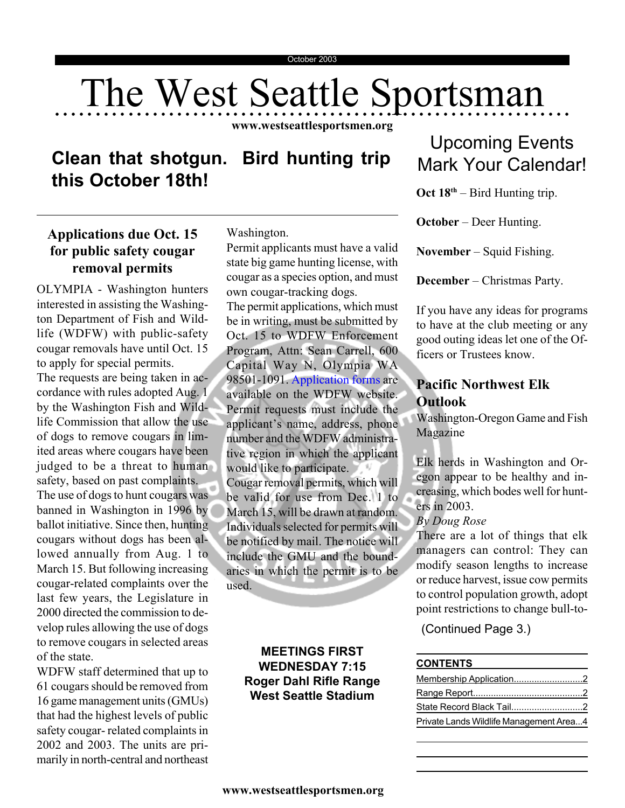# The West Seattle Sportsman

**www.westseattlesportsmen.org**

# **Clean that shotgun. Bird hunting trip this October 18th!**

# **Applications due Oct. 15 for public safety cougar removal permits**

OLYMPIA - Washington hunters interested in assisting the Washington Department of Fish and Wildlife (WDFW) with public-safety cougar removals have until Oct. 15 to apply for special permits. The requests are being taken in accordance with rules adopted Aug. 1 by the Washington Fish and Wildlife Commission that allow the use of dogs to remove cougars in limited areas where cougars have been judged to be a threat to human safety, based on past complaints. The use of dogs to hunt cougars was banned in Washington in 1996 by ballot initiative. Since then, hunting cougars without dogs has been allowed annually from Aug. 1 to March 15. But following increasing cougar-related complaints over the last few years, the Legislature in 2000 directed the commission to develop rules allowing the use of dogs to remove cougars in selected areas of the state.

WDFW staff determined that up to 61 cougars should be removed from 16 game management units (GMUs) that had the highest levels of public safety cougar- related complaints in 2002 and 2003. The units are primarily in north-central and northeast

Washington.

Permit applicants must have a valid state big game hunting license, with cougar as a species option, and must own cougar-tracking dogs.

The permit applications, which must be in writing, must be submitted by Oct. 15 to WDFW Enforcement Program, Attn: Sean Carrell, 600 Capital Way N, Olympia WA 98501-1091. Application forms are available on the WDFW website. Permit requests must include the applicant's name, address, phone number and the WDFW administrative region in which the applicant would like to participate. Cougar removal permits, which will be valid for use from Dec. 1 to March 15, will be drawn at random. Individuals selected for permits will be notified by mail. The notice will include the GMU and the boundaries in which the permit is to be used.

### **MEETINGS FIRST WEDNESDAY 7:15 Roger Dahl Rifle Range West Seattle Stadium**

# Upcoming Events Mark Your Calendar!

**Oct 18th** – Bird Hunting trip.

**October** – Deer Hunting.

**November** – Squid Fishing.

**December** – Christmas Party.

If you have any ideas for programs to have at the club meeting or any good outing ideas let one of the Officers or Trustees know.

# **Pacific Northwest Elk Outlook**

Washington-Oregon Game and Fish Magazine

Elk herds in Washington and Oregon appear to be healthy and increasing, which bodes well for hunters in 2003.

#### *By Doug Rose*

There are a lot of things that elk managers can control: They can modify season lengths to increase or reduce harvest, issue cow permits to control population growth, adopt point restrictions to change bull-to-

(Continued Page 3.)

#### **CONTENTS**

| Private Lands Wildlife Management Area4 |  |
|-----------------------------------------|--|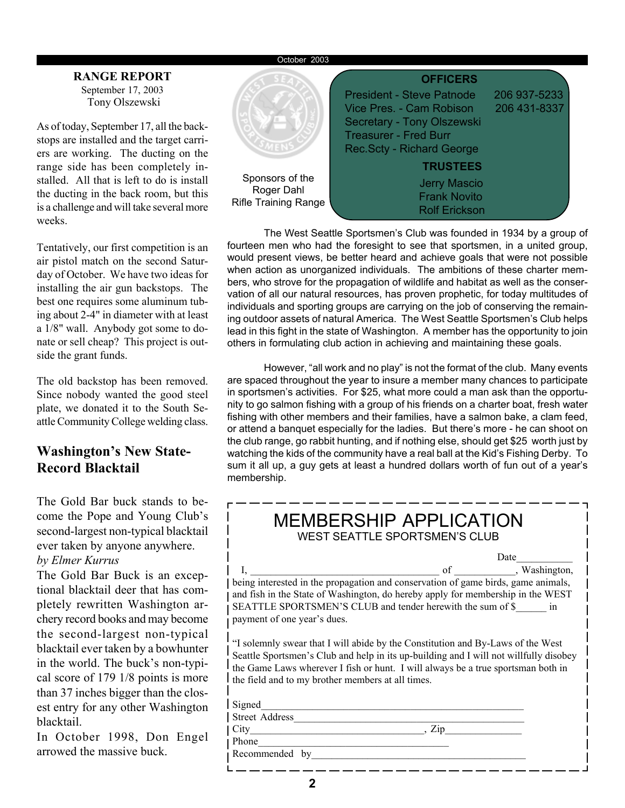#### October 2003

#### Tony Olszewski **RANGE REPORT** September 17, 2003

As of today, September 17, all the backstops are installed and the target carriers are working. The ducting on the range side has been completely installed. All that is left to do is install the ducting in the back room, but this is a challenge and will take several more weeks.

Tentatively, our first competition is an air pistol match on the second Saturday of October. We have two ideas for installing the air gun backstops. The best one requires some aluminum tubing about 2-4" in diameter with at least a 1/8" wall. Anybody got some to donate or sell cheap? This project is outside the grant funds.

The old backstop has been removed. Since nobody wanted the good steel plate, we donated it to the South Seattle Community College welding class.

# **Washington's New State-Record Blacktail**

The Gold Bar buck stands to become the Pope and Young Club's second-largest non-typical blacktail ever taken by anyone anywhere.

#### *by Elmer Kurrus*

The Gold Bar Buck is an exceptional blacktail deer that has completely rewritten Washington archery record books and may become the second-largest non-typical blacktail ever taken by a bowhunter in the world. The buck's non-typical score of 179 1/8 points is more than 37 inches bigger than the closest entry for any other Washington blacktail.

In October 1998, Don Engel arrowed the massive buck.



The West Seattle Sportsmen's Club was founded in 1934 by a group of fourteen men who had the foresight to see that sportsmen, in a united group, would present views, be better heard and achieve goals that were not possible when action as unorganized individuals. The ambitions of these charter members, who strove for the propagation of wildlife and habitat as well as the conservation of all our natural resources, has proven prophetic, for today multitudes of individuals and sporting groups are carrying on the job of conserving the remaining outdoor assets of natural America. The West Seattle Sportsmen's Club helps lead in this fight in the state of Washington. A member has the opportunity to join others in formulating club action in achieving and maintaining these goals.

However, "all work and no play" is not the format of the club. Many events are spaced throughout the year to insure a member many chances to participate in sportsmen's activities. For \$25, what more could a man ask than the opportunity to go salmon fishing with a group of his friends on a charter boat, fresh water fishing with other members and their families, have a salmon bake, a clam feed, or attend a banquet especially for the ladies. But there's more - he can shoot on the club range, go rabbit hunting, and if nothing else, should get \$25 worth just by watching the kids of the community have a real ball at the Kid's Fishing Derby. To sum it all up, a guy gets at least a hundred dollars worth of fun out of a year's membership.

| <b>MEMBERSHIP APPLICATION</b><br><b>WEST SEATTLE SPORTSMEN'S CLUB</b>                                                                                                                                                                                                                                             |  |  |  |  |  |  |
|-------------------------------------------------------------------------------------------------------------------------------------------------------------------------------------------------------------------------------------------------------------------------------------------------------------------|--|--|--|--|--|--|
| Date                                                                                                                                                                                                                                                                                                              |  |  |  |  |  |  |
| I, using interested in the propagation and conservation of game birds, game animals,                                                                                                                                                                                                                              |  |  |  |  |  |  |
|                                                                                                                                                                                                                                                                                                                   |  |  |  |  |  |  |
| and fish in the State of Washington, do hereby apply for membership in the WEST                                                                                                                                                                                                                                   |  |  |  |  |  |  |
| SEATTLE SPORTSMEN'S CLUB and tender herewith the sum of \$ in                                                                                                                                                                                                                                                     |  |  |  |  |  |  |
| payment of one year's dues.                                                                                                                                                                                                                                                                                       |  |  |  |  |  |  |
| "I solemnly swear that I will abide by the Constitution and By-Laws of the West<br>Seattle Sportsmen's Club and help in its up-building and I will not willfully disobey<br>the Game Laws wherever I fish or hunt. I will always be a true sportsman both in<br>the field and to my brother members at all times. |  |  |  |  |  |  |
| Signed                                                                                                                                                                                                                                                                                                            |  |  |  |  |  |  |
| <b>Street Address</b>                                                                                                                                                                                                                                                                                             |  |  |  |  |  |  |
| City<br>. Zip                                                                                                                                                                                                                                                                                                     |  |  |  |  |  |  |
| Phone                                                                                                                                                                                                                                                                                                             |  |  |  |  |  |  |
| Recommended<br>by                                                                                                                                                                                                                                                                                                 |  |  |  |  |  |  |
|                                                                                                                                                                                                                                                                                                                   |  |  |  |  |  |  |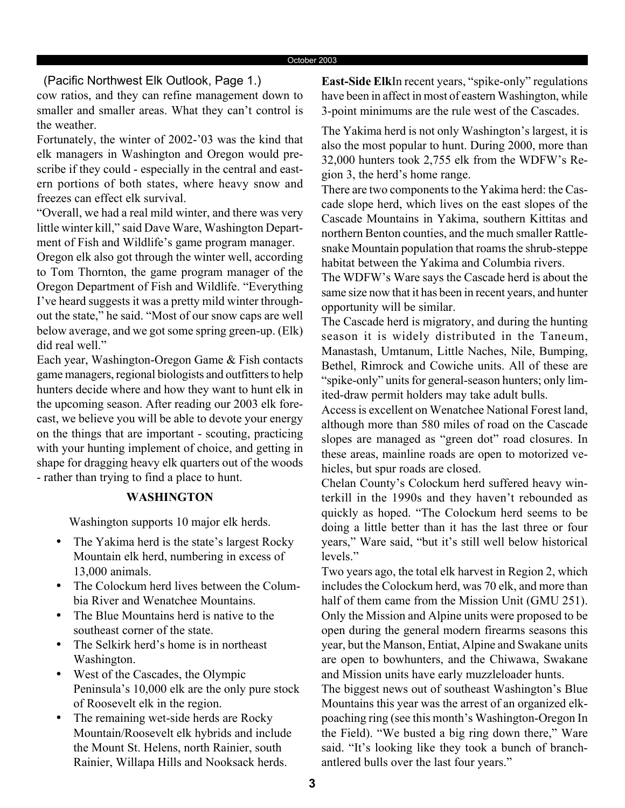(Pacific Northwest Elk Outlook, Page 1.)

cow ratios, and they can refine management down to smaller and smaller areas. What they can't control is the weather.

Fortunately, the winter of 2002-'03 was the kind that elk managers in Washington and Oregon would prescribe if they could - especially in the central and eastern portions of both states, where heavy snow and freezes can effect elk survival.

"Overall, we had a real mild winter, and there was very little winter kill," said Dave Ware, Washington Department of Fish and Wildlife's game program manager.

Oregon elk also got through the winter well, according to Tom Thornton, the game program manager of the Oregon Department of Fish and Wildlife. "Everything I've heard suggests it was a pretty mild winter throughout the state," he said. "Most of our snow caps are well below average, and we got some spring green-up. (Elk) did real well."

Each year, Washington-Oregon Game & Fish contacts game managers, regional biologists and outfitters to help hunters decide where and how they want to hunt elk in the upcoming season. After reading our 2003 elk forecast, we believe you will be able to devote your energy on the things that are important - scouting, practicing with your hunting implement of choice, and getting in shape for dragging heavy elk quarters out of the woods - rather than trying to find a place to hunt.

#### **WASHINGTON**

Washington supports 10 major elk herds.

- The Yakima herd is the state's largest Rocky Mountain elk herd, numbering in excess of 13,000 animals.
- The Colockum herd lives between the Columbia River and Wenatchee Mountains.
- The Blue Mountains herd is native to the southeast corner of the state.
- The Selkirk herd's home is in northeast Washington.
- West of the Cascades, the Olympic Peninsula's 10,000 elk are the only pure stock of Roosevelt elk in the region.
- The remaining wet-side herds are Rocky Mountain/Roosevelt elk hybrids and include the Mount St. Helens, north Rainier, south Rainier, Willapa Hills and Nooksack herds.

**East-Side Elk**In recent years, "spike-only" regulations have been in affect in most of eastern Washington, while 3-point minimums are the rule west of the Cascades.

The Yakima herd is not only Washington's largest, it is also the most popular to hunt. During 2000, more than 32,000 hunters took 2,755 elk from the WDFW's Region 3, the herd's home range.

There are two components to the Yakima herd: the Cascade slope herd, which lives on the east slopes of the Cascade Mountains in Yakima, southern Kittitas and northern Benton counties, and the much smaller Rattlesnake Mountain population that roams the shrub-steppe habitat between the Yakima and Columbia rivers.

The WDFW's Ware says the Cascade herd is about the same size now that it has been in recent years, and hunter opportunity will be similar.

The Cascade herd is migratory, and during the hunting season it is widely distributed in the Taneum, Manastash, Umtanum, Little Naches, Nile, Bumping, Bethel, Rimrock and Cowiche units. All of these are "spike-only" units for general-season hunters; only limited-draw permit holders may take adult bulls.

Access is excellent on Wenatchee National Forest land, although more than 580 miles of road on the Cascade slopes are managed as "green dot" road closures. In these areas, mainline roads are open to motorized vehicles, but spur roads are closed.

Chelan County's Colockum herd suffered heavy winterkill in the 1990s and they haven't rebounded as quickly as hoped. "The Colockum herd seems to be doing a little better than it has the last three or four years," Ware said, "but it's still well below historical levels."

Two years ago, the total elk harvest in Region 2, which includes the Colockum herd, was 70 elk, and more than half of them came from the Mission Unit (GMU 251). Only the Mission and Alpine units were proposed to be open during the general modern firearms seasons this year, but the Manson, Entiat, Alpine and Swakane units are open to bowhunters, and the Chiwawa, Swakane and Mission units have early muzzleloader hunts.

The biggest news out of southeast Washington's Blue Mountains this year was the arrest of an organized elkpoaching ring (see this month's Washington-Oregon In the Field). "We busted a big ring down there," Ware said. "It's looking like they took a bunch of branchantlered bulls over the last four years."